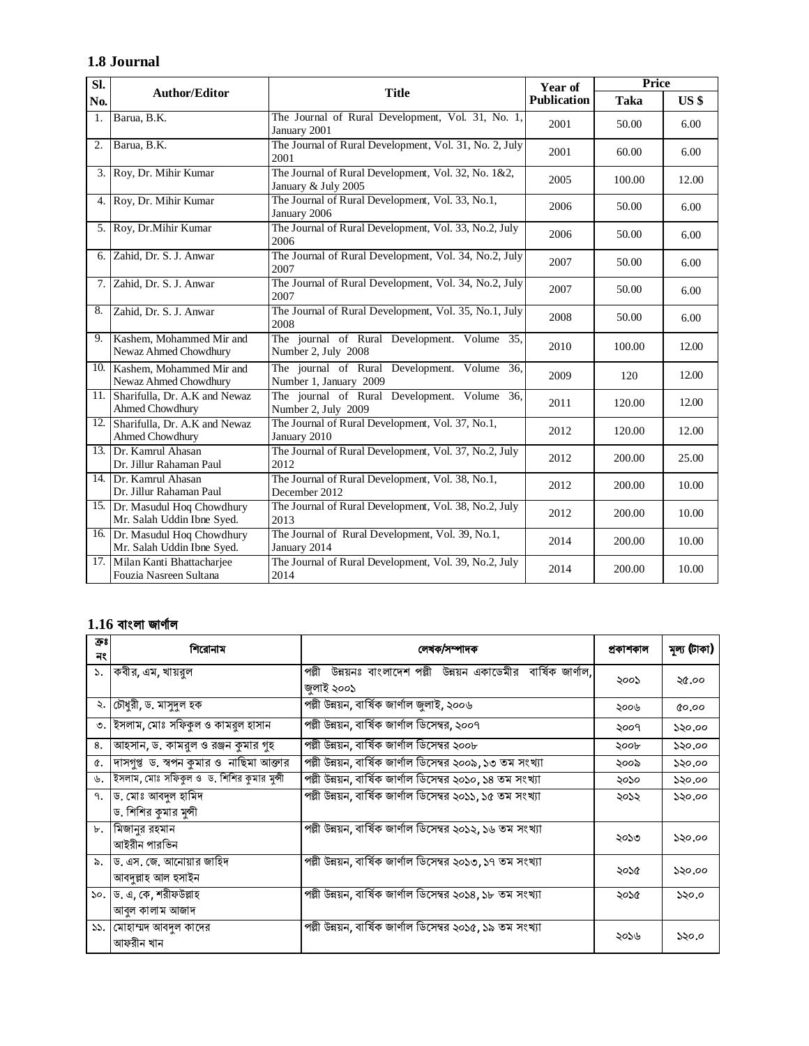## **1.8 Journal**

| SI.            | <b>Author/Editor</b>                                        | <b>Title</b>                                                               | Year of<br><b>Publication</b> | Price  |                 |
|----------------|-------------------------------------------------------------|----------------------------------------------------------------------------|-------------------------------|--------|-----------------|
| No.            |                                                             |                                                                            |                               | Taka   | US <sub>3</sub> |
| $\mathbf{1}$ . | Barua, B.K.                                                 | The Journal of Rural Development, Vol. 31, No. 1,<br>January 2001          | 2001                          | 50.00  | 6.00            |
| 2.             | Barua, B.K.                                                 | The Journal of Rural Development, Vol. 31, No. 2, July<br>2001             | 2001                          | 60.00  | 6.00            |
| 3.1            | Roy, Dr. Mihir Kumar                                        | The Journal of Rural Development, Vol. 32, No. 1&2,<br>January & July 2005 | 2005                          | 100.00 | 12.00           |
| 4. I           | Roy, Dr. Mihir Kumar                                        | The Journal of Rural Development, Vol. 33, No.1,<br>January 2006           | 2006                          | 50.00  | 6.00            |
| 5.1            | Roy, Dr.Mihir Kumar                                         | The Journal of Rural Development, Vol. 33, No.2, July<br>2006              | 2006                          | 50.00  | 6.00            |
|                | 6. Zahid, Dr. S. J. Anwar                                   | The Journal of Rural Development, Vol. 34, No.2, July<br>2007              | 2007                          | 50.00  | 6.00            |
|                | 7. Zahid, Dr. S. J. Anwar                                   | The Journal of Rural Development, Vol. 34, No.2, July<br>2007              | 2007                          | 50.00  | 6.00            |
| 8.             | Zahid, Dr. S. J. Anwar                                      | The Journal of Rural Development, Vol. 35, No.1, July<br>2008              | 2008                          | 50.00  | 6.00            |
| 9.1            | Kashem, Mohammed Mir and<br>Newaz Ahmed Chowdhury           | The journal of Rural Development. Volume 35,<br>Number 2, July 2008        | 2010                          | 100.00 | 12.00           |
| 10.1           | Kashem, Mohammed Mir and<br>Newaz Ahmed Chowdhury           | The journal of Rural Development. Volume 36,<br>Number 1, January 2009     | 2009                          | 120    | 12.00           |
| 11.            | Sharifulla, Dr. A.K and Newaz<br>Ahmed Chowdhury            | The journal of Rural Development. Volume 36,<br>Number 2, July 2009        | 2011                          | 120.00 | 12.00           |
| 12.            | Sharifulla, Dr. A.K and Newaz<br>Ahmed Chowdhury            | The Journal of Rural Development, Vol. 37, No.1,<br>January 2010           | 2012                          | 120.00 | 12.00           |
|                | 13. Dr. Kamrul Ahasan<br>Dr. Jillur Rahaman Paul            | The Journal of Rural Development, Vol. 37, No.2, July<br>2012              | 2012                          | 200.00 | 25.00           |
|                | 14. Dr. Kamrul Ahasan<br>Dr. Jillur Rahaman Paul            | The Journal of Rural Development, Vol. 38, No.1,<br>December 2012          | 2012                          | 200.00 | 10.00           |
|                | 15. Dr. Masudul Hoq Chowdhury<br>Mr. Salah Uddin Ibne Syed. | The Journal of Rural Development, Vol. 38, No.2, July<br>2013              | 2012                          | 200.00 | 10.00           |
|                | 16. Dr. Masudul Hoq Chowdhury<br>Mr. Salah Uddin Ibne Syed. | The Journal of Rural Development, Vol. 39, No.1,<br>January 2014           | 2014                          | 200.00 | 10.00           |
|                | 17. Milan Kanti Bhattacharjee<br>Fouzia Nasreen Sultana     | The Journal of Rural Development, Vol. 39, No.2, July<br>2014              | 2014                          | 200.00 | 10.00           |

## **1.16 বাংলা জাণ ȟাল**

| ক্ৰঃ<br>নং  | শিরোনাম                                        | লেখক/সম্পাদক                                                                     | প্ৰকাশকাল | মূল্য (টাকা) |
|-------------|------------------------------------------------|----------------------------------------------------------------------------------|-----------|--------------|
| ১.          | কবীর, এম, খায়রুল                              | উন্নয়নঃ বাংলাদেশ পল্লী উন্নয়ন একাডেমীর বার্ষিক জার্ণাল,<br>পল্লী<br>জুলাই ২০০১ | ২০০১      | ২৫.০০        |
|             | ২.  চৌধুরী, ড. মাসুদুল হক                      | পল্লী উন্নয়ন, বাৰ্ষিক জাৰ্ণাল জ্বলাই, ২০০৬                                      | ২০০৬      | 0.00         |
|             | ৩. ইসলাম, মোঃ সফিকুল ও কামরুল হাসান            | পল্লী উন্নয়ন, বার্ষিক জার্ণাল ডিসেম্বর, ২০০৭                                    | ২০০৭      | ১২০.০০       |
| 8.          | আহসান, ড. কামরুল ও রঞ্জন কুমার গুহ             | পল্লী উন্নয়ন, বার্ষিক জার্ণাল ডিসেম্বর ২০০৮                                     | ২০০৮      | ১২০.০০       |
| ¢.          | দাসগুপ্ত ড স্বপন কুমার ও নাছিমা আক্তার         | পল্লী উন্নয়ন, বার্ষিক জার্ণাল ডিসেম্বর ২০০৯, ১৩ তম সংখ্যা                       | ২০০৯      | ১২০.০০       |
| ৬.          | ইসলাম, মোঃ সফিকুল ও ড. শিশির কুমার মুন্সী      | পল্লী উন্নয়ন, বার্ষিক জার্ণাল ডিসেম্বর ২০১০, ১৪ তম সংখ্যা                       | ২০১০      | ১২০.০০       |
| ٩.          | ড. মোঃ আবদুল হামিদ                             | পল্লী উন্নয়ন, বার্ষিক জার্ণাল ডিসেম্বর ২০১১, ১৫ তম সংখ্যা                       | ২০১২      | ১২০.০০       |
|             | ড. শিশির কুমার মুন্সী                          |                                                                                  |           |              |
| Ъ.          | মিজানুর রহমান<br>আইরীন পারভিন                  | পল্লী উন্নয়ন, বার্ষিক জার্ণাল ডিসেম্বর ২০১২, ১৬ তম সংখ্যা                       | ২০১৩      | ১২০.০০       |
| $\lambda$ . | ড. এস. জে. আনোয়ার জাহিদ<br>আবদুল্লাহ আল হসাইন | পল্লী উন্নয়ন, বার্ষিক জার্ণাল ডিসেম্বর ২০১৩, ১৭ তম সংখ্যা                       | ২০১৫      | ১২০.০০       |
|             | ১০. ড. এ, কে, শরীফউল্লাহ                       | পল্লী উন্নয়ন, বার্ষিক জার্ণাল ডিসেম্বর ২০১৪, ১৮ তম সংখ্যা                       | ২০১৫      | ১২০.০        |
|             | আবল কালাম আজাদ                                 |                                                                                  |           |              |
|             | ১১.   মোহাম্মদ আবদুল কাদের<br>আফরীন খান        | পল্লী উন্নয়ন, বার্ষিক জার্ণাল ডিসেম্বর ২০১৫, ১৯ তম সংখ্যা                       | ২০১৬      | ১২০.০        |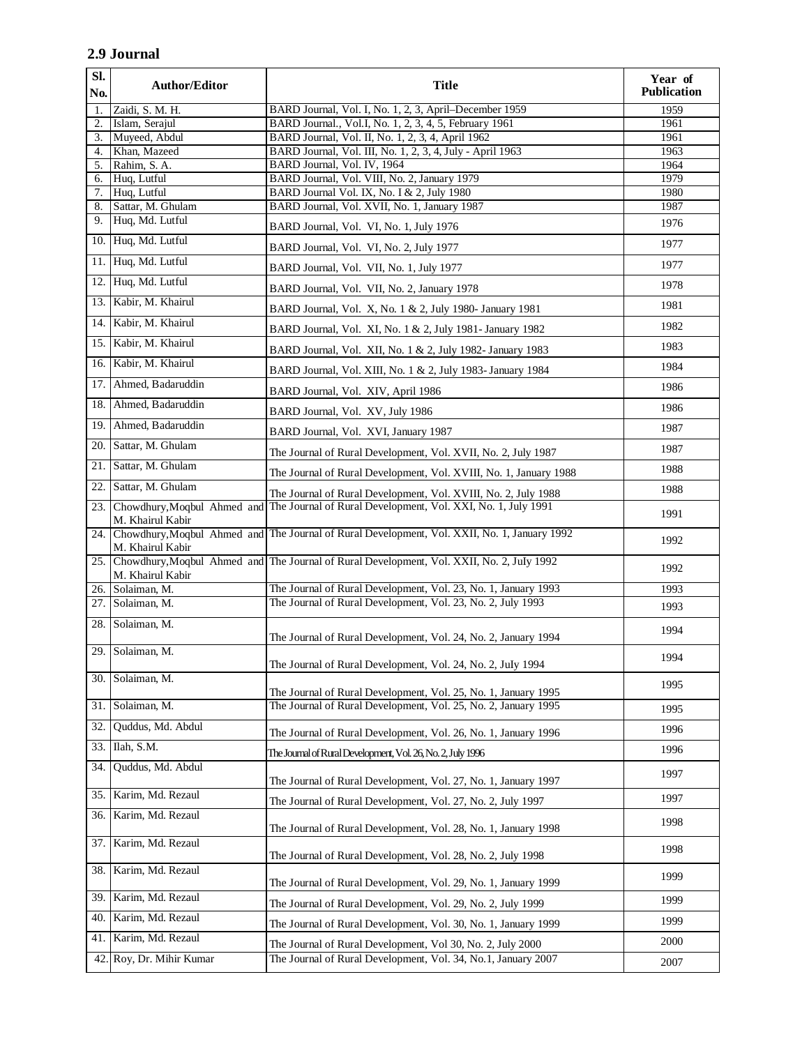## **2.9 Journal**

| SI.<br>No. | <b>Author/Editor</b>                            | <b>Title</b>                                                                                     | Year of<br><b>Publication</b> |
|------------|-------------------------------------------------|--------------------------------------------------------------------------------------------------|-------------------------------|
| 1.         | Zaidi, S. M. H.                                 | BARD Journal, Vol. I, No. 1, 2, 3, April-December 1959                                           | 1959                          |
| 2.         | Islam, Serajul                                  | BARD Journal., Vol.I, No. 1, 2, 3, 4, 5, February 1961                                           | 1961                          |
| 3.         | Muyeed, Abdul                                   | BARD Journal, Vol. II, No. 1, 2, 3, 4, April 1962                                                | 1961                          |
| 4.<br>5.   | Khan, Mazeed<br>Rahim, S. A.                    | BARD Journal, Vol. III, No. 1, 2, 3, 4, July - April 1963<br>BARD Journal, Vol. IV, 1964         | 1963<br>1964                  |
| 6.         | Huq, Lutful                                     | BARD Journal, Vol. VIII, No. 2, January 1979                                                     | 1979                          |
| 7.         | Huq, Lutful                                     | BARD Journal Vol. IX, No. I & 2, July 1980                                                       | 1980                          |
| 8.         | Sattar, M. Ghulam                               | BARD Journal, Vol. XVII, No. 1, January 1987                                                     | 1987                          |
| 9.         | Huq, Md. Lutful                                 | BARD Journal, Vol. VI, No. 1, July 1976                                                          | 1976                          |
|            | 10. Huq, Md. Lutful                             | BARD Journal, Vol. VI, No. 2, July 1977                                                          | 1977                          |
|            | 11. Huq, Md. Lutful                             | BARD Journal, Vol. VII, No. 1, July 1977                                                         | 1977                          |
|            | 12. Huq, Md. Lutful                             | BARD Journal, Vol. VII, No. 2, January 1978                                                      | 1978                          |
|            | 13. Kabir, M. Khairul                           | BARD Journal, Vol. X, No. 1 & 2, July 1980- January 1981                                         | 1981                          |
| 14.1       | Kabir, M. Khairul                               | BARD Journal, Vol. XI, No. 1 & 2, July 1981- January 1982                                        | 1982                          |
| 15.        | Kabir, M. Khairul                               | BARD Journal, Vol. XII, No. 1 & 2, July 1982- January 1983                                       | 1983                          |
| 16.1       | Kabir, M. Khairul                               | BARD Journal, Vol. XIII, No. 1 & 2, July 1983- January 1984                                      | 1984                          |
| 17.        | Ahmed, Badaruddin                               | BARD Journal, Vol. XIV, April 1986                                                               | 1986                          |
|            | 18. Ahmed, Badaruddin                           | BARD Journal, Vol. XV, July 1986                                                                 | 1986                          |
|            | 19. Ahmed, Badaruddin                           | BARD Journal, Vol. XVI, January 1987                                                             | 1987                          |
|            | 20. Sattar, M. Ghulam                           | The Journal of Rural Development, Vol. XVII, No. 2, July 1987                                    | 1987                          |
|            | 21. Sattar, M. Ghulam                           | The Journal of Rural Development, Vol. XVIII, No. 1, January 1988                                | 1988                          |
| 22.        | Sattar, M. Ghulam                               | The Journal of Rural Development, Vol. XVIII, No. 2, July 1988                                   | 1988                          |
| 23.        | Chowdhury, Moqbul Ahmed and<br>M. Khairul Kabir | The Journal of Rural Development, Vol. XXI, No. 1, July 1991                                     | 1991                          |
|            | M. Khairul Kabir                                | 24. Chowdhury, Moqbul Ahmed and The Journal of Rural Development, Vol. XXII, No. 1, January 1992 | 1992                          |
|            | M. Khairul Kabir                                | 25. Chowdhury, Moqbul Ahmed and The Journal of Rural Development, Vol. XXII, No. 2, July 1992    | 1992                          |
|            | 26. Solaiman, M.                                | The Journal of Rural Development, Vol. 23, No. 1, January 1993                                   | 1993                          |
|            | 27. Solaiman, M.                                | The Journal of Rural Development, Vol. 23, No. 2, July 1993                                      | 1993                          |
|            | 28. Solaiman, M.                                | The Journal of Rural Development, Vol. 24, No. 2, January 1994                                   | 1994                          |
|            | 29. Solaiman, M.                                | The Journal of Rural Development, Vol. 24, No. 2, July 1994                                      | 1994                          |
| 30.        | Solaiman, M.                                    | The Journal of Rural Development, Vol. 25, No. 1, January 1995                                   | 1995                          |
| 31.        | Solaiman, M.                                    | The Journal of Rural Development, Vol. 25, No. 2, January 1995                                   | 1995                          |
| 32.        | Quddus, Md. Abdul                               | The Journal of Rural Development, Vol. 26, No. 1, January 1996                                   | 1996                          |
| 33.        | Ilah, S.M.                                      | The Journal of Rural Development, Vol. 26, No. 2, July 1996                                      | 1996                          |
| 34.        | Quddus, Md. Abdul                               | The Journal of Rural Development, Vol. 27, No. 1, January 1997                                   | 1997                          |
| 35.        | Karim, Md. Rezaul                               | The Journal of Rural Development, Vol. 27, No. 2, July 1997                                      | 1997                          |
| 36.        | Karim, Md. Rezaul                               | The Journal of Rural Development, Vol. 28, No. 1, January 1998                                   | 1998                          |
| 37.        | Karim, Md. Rezaul                               | The Journal of Rural Development, Vol. 28, No. 2, July 1998                                      | 1998                          |
| 38.        | Karim, Md. Rezaul                               | The Journal of Rural Development, Vol. 29, No. 1, January 1999                                   | 1999                          |
| 39.        | Karim, Md. Rezaul                               | The Journal of Rural Development, Vol. 29, No. 2, July 1999                                      | 1999                          |
| 40.        | Karim, Md. Rezaul                               | The Journal of Rural Development, Vol. 30, No. 1, January 1999                                   | 1999                          |
| 41.        | Karim, Md. Rezaul                               | The Journal of Rural Development, Vol 30, No. 2, July 2000                                       | 2000                          |
| 42.        | Roy, Dr. Mihir Kumar                            | The Journal of Rural Development, Vol. 34, No.1, January 2007                                    | 2007                          |